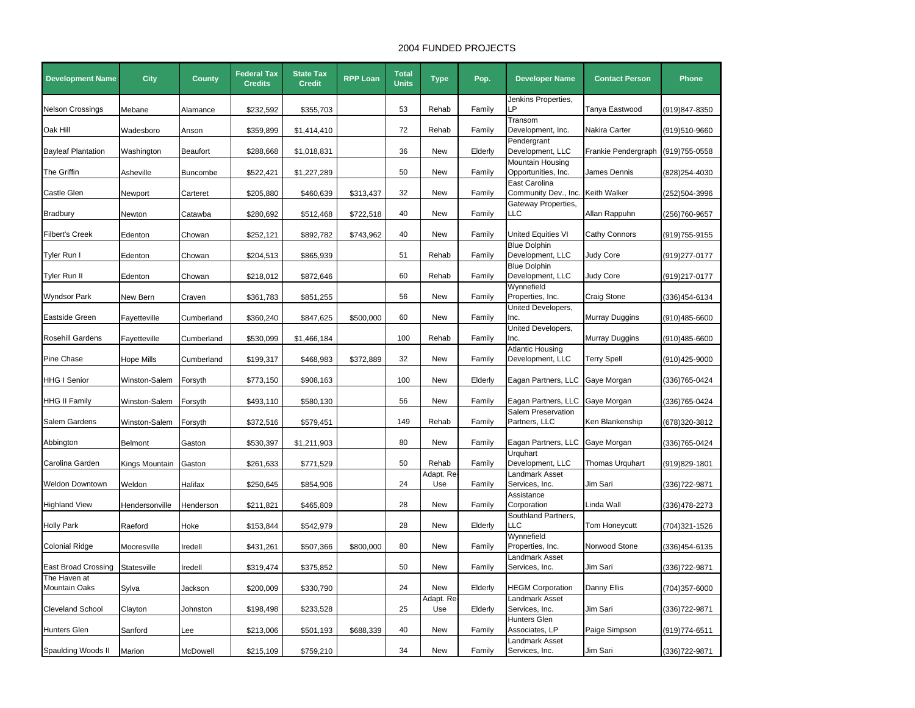## 2004 FUNDED PROJECTS

| <b>Development Name</b>                    | <b>City</b>    | <b>County</b>   | <b>Federal Tax</b><br><b>Credits</b> | <b>State Tax</b><br><b>Credit</b> | <b>RPP Loan</b> | <b>Total</b><br><b>Units</b> | <b>Type</b>        | Pop.    | <b>Developer Name</b>                       | <b>Contact Person</b> | <b>Phone</b>   |
|--------------------------------------------|----------------|-----------------|--------------------------------------|-----------------------------------|-----------------|------------------------------|--------------------|---------|---------------------------------------------|-----------------------|----------------|
|                                            |                |                 |                                      |                                   |                 |                              |                    |         | Jenkins Properties,<br>P                    |                       |                |
| Nelson Crossings                           | Mebane         | Alamance        | \$232,592                            | \$355,703                         |                 | 53                           | Rehab              | Family  | Transom                                     | Tanya Eastwood        | (919)847-8350  |
| Oak Hill                                   | Wadesboro      | Anson           | \$359,899                            | \$1,414,410                       |                 | 72                           | Rehab              | Family  | Development, Inc.                           | Nakira Carter         | (919)510-9660  |
|                                            |                |                 |                                      |                                   |                 |                              |                    |         | Pendergrant                                 |                       |                |
| <b>Bayleaf Plantation</b>                  | Washington     | <b>Beaufort</b> | \$288,668                            | \$1,018,831                       |                 | 36                           | <b>New</b>         | Elderly | Development, LLC                            | Frankie Pendergraph   | (919) 755-0558 |
|                                            |                |                 |                                      |                                   |                 |                              |                    |         | Mountain Housing                            |                       |                |
| The Griffin                                | Asheville      | <b>Buncombe</b> | \$522,421                            | \$1,227,289                       |                 | 50                           | <b>New</b>         | Family  | Opportunities, Inc.                         | James Dennis          | (828)254-4030  |
|                                            |                |                 |                                      |                                   |                 |                              |                    |         | East Carolina                               |                       |                |
| Castle Glen                                | Newport        | Carteret        | \$205,880                            | \$460,639                         | \$313,437       | 32                           | New                | Family  | Community Dev., Inc.                        | <b>Keith Walker</b>   | (252)504-3996  |
|                                            |                |                 |                                      |                                   |                 |                              |                    |         | Gateway Properties,                         |                       |                |
| Bradbury                                   | Newton         | Catawba         | \$280,692                            | \$512,468                         | \$722,518       | 40                           | <b>New</b>         | Family  | LC                                          | Allan Rappuhn         | (256)760-9657  |
| <b>Filbert's Creek</b>                     |                |                 | \$252,121                            | \$892,782                         | \$743,962       | 40                           | New                | Family  | United Equities VI                          | Cathy Connors         | (919)755-9155  |
|                                            | Edenton        | Chowan          |                                      |                                   |                 |                              |                    |         | <b>Blue Dolphin</b>                         |                       |                |
| Tyler Run I                                | Edenton        | Chowan          | \$204,513                            | \$865,939                         |                 | 51                           | Rehab              | Family  | Development, LLC                            | <b>Judy Core</b>      | (919)277-0177  |
|                                            |                |                 |                                      |                                   |                 |                              |                    |         | Blue Dolphin                                |                       |                |
| Tyler Run II                               | Edenton        | Chowan          | \$218,012                            | \$872,646                         |                 | 60                           | Rehab              | Family  | Development, LLC                            | Judy Core             | (919)217-0177  |
|                                            |                |                 |                                      |                                   |                 |                              |                    |         | Wynnefield                                  |                       |                |
| Wyndsor Park                               | New Bern       | Craven          | \$361,783                            | \$851,255                         |                 | 56                           | New                | Family  | Properties, Inc.                            | Craig Stone           | 336)454-6134   |
|                                            |                |                 |                                      |                                   |                 |                              |                    |         | United Developers,                          |                       |                |
| Eastside Green                             | Fayetteville   | Cumberland      | \$360,240                            | \$847,625                         | \$500,000       | 60                           | <b>New</b>         | Family  | Inc.                                        | Murray Duggins        | (910)485-6600  |
|                                            |                |                 |                                      |                                   |                 |                              |                    |         | United Developers,                          |                       |                |
| <b>Rosehill Gardens</b>                    | Fayetteville   | Cumberland      | \$530,099                            | \$1,466,184                       |                 | 100                          | Rehab              | Family  | Inc.                                        | Murray Duggins        | (910)485-6600  |
| Pine Chase                                 | Hope Mills     | Cumberland      | \$199,317                            | \$468,983                         | \$372,889       | 32                           | <b>New</b>         | Family  | <b>Atlantic Housing</b><br>Development, LLC | Terry Spell           | (910)425-9000  |
|                                            |                |                 |                                      |                                   |                 |                              |                    |         |                                             |                       |                |
| HHG I Senior                               | Winston-Salem  | Forsyth         | \$773,150                            | \$908,163                         |                 | 100                          | New                | Elderly | Eagan Partners, LLC                         | Gaye Morgan           | (336)765-0424  |
|                                            |                |                 |                                      |                                   |                 |                              |                    |         |                                             |                       |                |
| <b>HHG II Family</b>                       | Winston-Salem  | Forsyth         | \$493,110                            | \$580,130                         |                 | 56                           | <b>New</b>         | Family  | Eagan Partners, LLC                         | Gaye Morgan           | (336)765-0424  |
|                                            |                |                 |                                      |                                   |                 |                              |                    |         | Salem Preservation                          |                       |                |
| Salem Gardens                              | Winston-Salem  | Forsyth         | \$372,516                            | \$579,451                         |                 | 149                          | Rehab              | Family  | Partners, LLC                               | Ken Blankenship       | (678)320-3812  |
|                                            |                |                 |                                      |                                   |                 |                              |                    |         |                                             |                       |                |
| Abbington                                  | <b>Belmont</b> | Gaston          | \$530,397                            | \$1,211,903                       |                 | 80                           | <b>New</b>         | Family  | Eagan Partners, LLC                         | Gaye Morgan           | (336)765-0424  |
|                                            |                |                 |                                      |                                   |                 |                              |                    |         | Urquhart                                    |                       |                |
| Carolina Garden                            | Kings Mountain | Gaston          | \$261,633                            | \$771,529                         |                 | 50                           | Rehab<br>Adapt. Re | Family  | Development, LLC<br>Landmark Asset          | Thomas Urquhart       | (919)829-1801  |
| Weldon Downtown                            | Weldon         | Halifax         | \$250,645                            | \$854,906                         |                 | 24                           | Use                | Family  | Services, Inc.                              | Jim Sari              | 336)722-9871   |
|                                            |                |                 |                                      |                                   |                 |                              |                    |         | Assistance                                  |                       |                |
| <b>Highland View</b>                       | Hendersonville | Henderson       | \$211,821                            | \$465,809                         |                 | 28                           | <b>New</b>         | Family  | Corporation                                 | Linda Wall            | (336)478-2273  |
|                                            |                |                 |                                      |                                   |                 |                              |                    |         | Southland Partners,                         |                       |                |
| <b>Holly Park</b>                          | Raeford        | Hoke            | \$153,844                            | \$542,979                         |                 | 28                           | New                | Elderly | LLC                                         | Tom Honeycutt         | (704)321-1526  |
|                                            |                |                 |                                      |                                   |                 |                              |                    |         | Wynnefield                                  |                       |                |
| <b>Colonial Ridge</b>                      | Mooresville    | Iredell         | \$431,261                            | \$507,366                         | \$800,000       | 80                           | New                | Family  | Properties, Inc.                            | Norwood Stone         | (336)454-6135  |
|                                            |                |                 |                                      |                                   |                 |                              |                    |         | Landmark Asset                              |                       |                |
| <b>East Broad Crossing</b><br>The Haven at | Statesville    | Iredell         | \$319,474                            | \$375,852                         |                 | 50                           | New                | Family  | Services, Inc.                              | Jim Sari              | (336)722-9871  |
| Mountain Oaks                              | Sylva          | Jackson         | \$200,009                            | \$330,790                         |                 | 24                           | <b>New</b>         | Elderly | <b>HEGM Corporation</b>                     | Danny Ellis           | (704)357-6000  |
|                                            |                |                 |                                      |                                   |                 |                              | Adapt. Re          |         | Landmark Asset                              |                       |                |
| <b>Cleveland School</b>                    | Clayton        | Johnston        | \$198,498                            | \$233,528                         |                 | 25                           | Use                | Elderly | Services, Inc.                              | Jim Sari              | (336)722-9871  |
|                                            |                |                 |                                      |                                   |                 |                              |                    |         | Hunters Glen                                |                       |                |
| Hunters Glen                               | Sanford        | Lee             | \$213,006                            | \$501,193                         | \$688,339       | 40                           | <b>New</b>         | Family  | Associates, LP                              | Paige Simpson         | (919)774-6511  |
|                                            |                |                 |                                      |                                   |                 |                              |                    |         | Landmark Asset                              |                       |                |
| Spaulding Woods II                         | Marion         | McDowell        | \$215,109                            | \$759,210                         |                 | 34                           | New                | Family  | Services, Inc.                              | Jim Sari              | (336) 722-9871 |